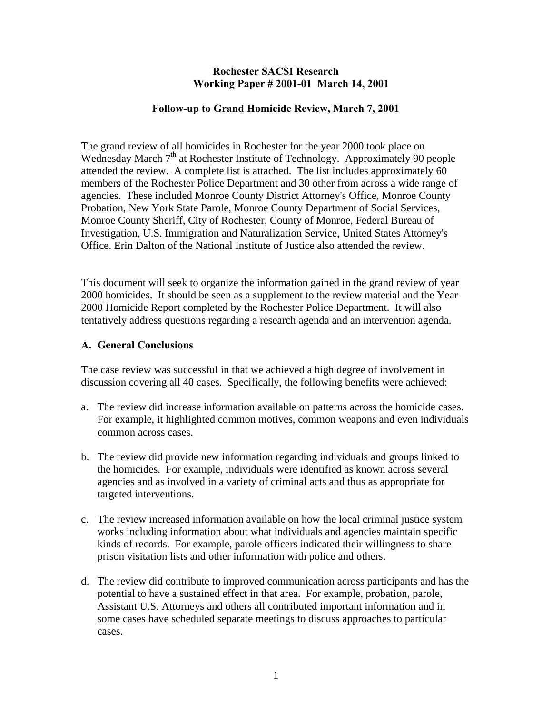#### **Rochester SACSI Research Working Paper # 2001-01 March 14, 2001**

#### **Follow-up to Grand Homicide Review, March 7, 2001**

The grand review of all homicides in Rochester for the year 2000 took place on Wednesday March  $7<sup>th</sup>$  at Rochester Institute of Technology. Approximately 90 people attended the review. A complete list is attached. The list includes approximately 60 members of the Rochester Police Department and 30 other from across a wide range of agencies. These included Monroe County District Attorney's Office, Monroe County Probation, New York State Parole, Monroe County Department of Social Services, Monroe County Sheriff, City of Rochester, County of Monroe, Federal Bureau of Investigation, U.S. Immigration and Naturalization Service, United States Attorney's Office. Erin Dalton of the National Institute of Justice also attended the review.

This document will seek to organize the information gained in the grand review of year 2000 homicides. It should be seen as a supplement to the review material and the Year 2000 Homicide Report completed by the Rochester Police Department. It will also tentatively address questions regarding a research agenda and an intervention agenda.

#### **A. General Conclusions**

The case review was successful in that we achieved a high degree of involvement in discussion covering all 40 cases. Specifically, the following benefits were achieved:

- a. The review did increase information available on patterns across the homicide cases. For example, it highlighted common motives, common weapons and even individuals common across cases.
- b. The review did provide new information regarding individuals and groups linked to the homicides. For example, individuals were identified as known across several agencies and as involved in a variety of criminal acts and thus as appropriate for targeted interventions.
- c. The review increased information available on how the local criminal justice system works including information about what individuals and agencies maintain specific kinds of records. For example, parole officers indicated their willingness to share prison visitation lists and other information with police and others.
- d. The review did contribute to improved communication across participants and has the potential to have a sustained effect in that area. For example, probation, parole, Assistant U.S. Attorneys and others all contributed important information and in some cases have scheduled separate meetings to discuss approaches to particular cases.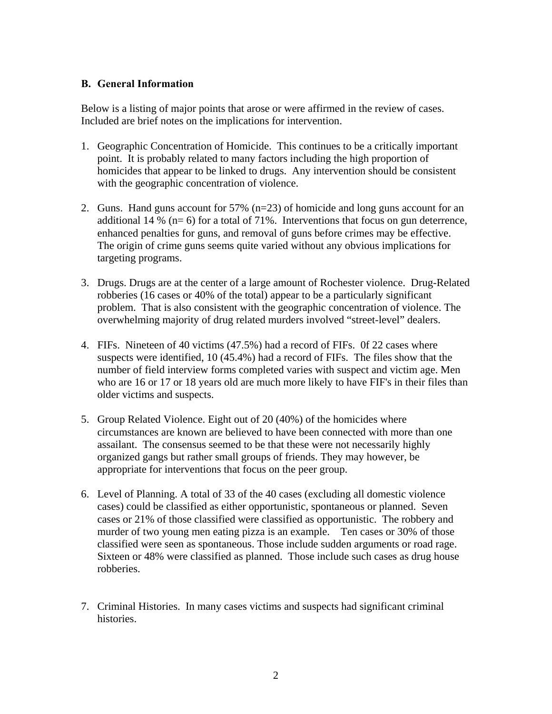#### **B. General Information**

Below is a listing of major points that arose or were affirmed in the review of cases. Included are brief notes on the implications for intervention.

- 1. Geographic Concentration of Homicide. This continues to be a critically important point. It is probably related to many factors including the high proportion of homicides that appear to be linked to drugs. Any intervention should be consistent with the geographic concentration of violence.
- 2. Guns. Hand guns account for 57% (n=23) of homicide and long guns account for an additional 14 % ( $n=6$ ) for a total of 71%. Interventions that focus on gun deterrence, enhanced penalties for guns, and removal of guns before crimes may be effective. The origin of crime guns seems quite varied without any obvious implications for targeting programs.
- 3. Drugs. Drugs are at the center of a large amount of Rochester violence. Drug-Related robberies (16 cases or 40% of the total) appear to be a particularly significant problem. That is also consistent with the geographic concentration of violence. The overwhelming majority of drug related murders involved "street-level" dealers.
- 4. FIFs. Nineteen of 40 victims (47.5%) had a record of FIFs. 0f 22 cases where suspects were identified, 10 (45.4%) had a record of FIFs. The files show that the number of field interview forms completed varies with suspect and victim age. Men who are 16 or 17 or 18 years old are much more likely to have FIF's in their files than older victims and suspects.
- 5. Group Related Violence. Eight out of 20 (40%) of the homicides where circumstances are known are believed to have been connected with more than one assailant. The consensus seemed to be that these were not necessarily highly organized gangs but rather small groups of friends. They may however, be appropriate for interventions that focus on the peer group.
- 6. Level of Planning. A total of 33 of the 40 cases (excluding all domestic violence cases) could be classified as either opportunistic, spontaneous or planned. Seven cases or 21% of those classified were classified as opportunistic. The robbery and murder of two young men eating pizza is an example. Ten cases or 30% of those classified were seen as spontaneous. Those include sudden arguments or road rage. Sixteen or 48% were classified as planned. Those include such cases as drug house robberies.
- 7. Criminal Histories. In many cases victims and suspects had significant criminal histories.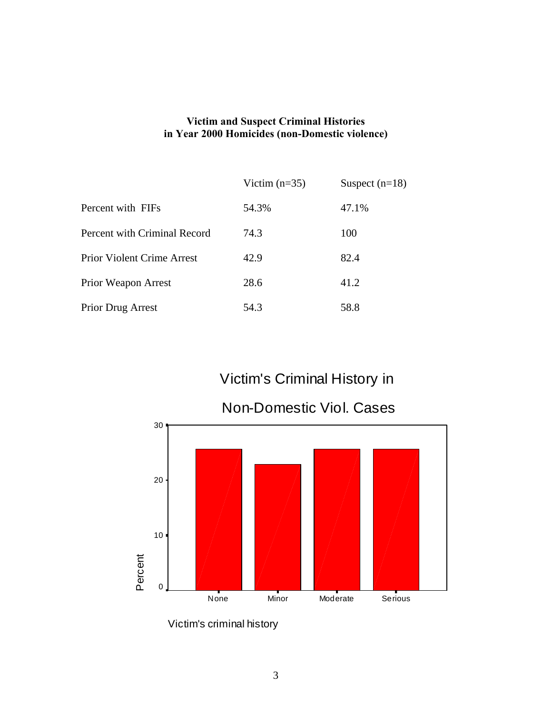### **Victim and Suspect Criminal Histories in Year 2000 Homicides (non-Domestic violence)**

|                                   | Victim $(n=35)$ | Suspect $(n=18)$ |
|-----------------------------------|-----------------|------------------|
| Percent with FIFs                 | 54.3%           | 47.1%            |
| Percent with Criminal Record      | 74.3            | 100              |
| <b>Prior Violent Crime Arrest</b> | 42.9            | 82.4             |
| Prior Weapon Arrest               | 28.6            | 41.2             |
| <b>Prior Drug Arrest</b>          | 54.3            | 58.8             |

# Victim's Criminal History in



Victim's criminal history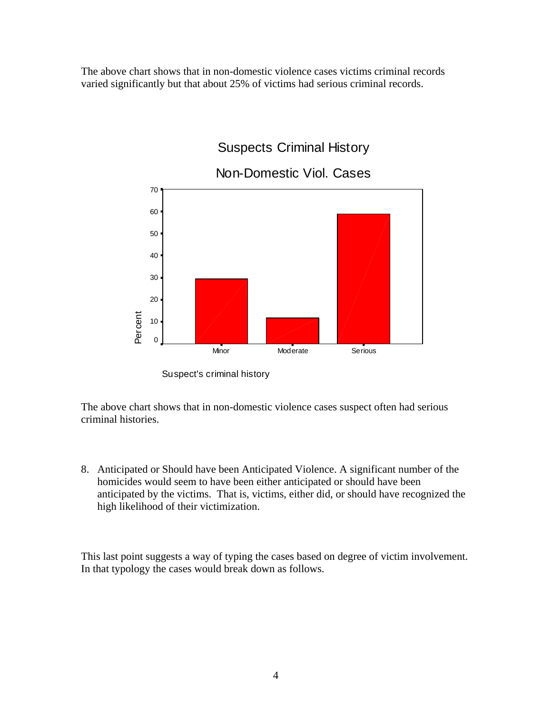The above chart shows that in non-domestic violence cases victims criminal records varied significantly but that about 25% of victims had serious criminal records.



Suspect's criminal history

The above chart shows that in non-domestic violence cases suspect often had serious criminal histories.

8. Anticipated or Should have been Anticipated Violence. A significant number of the homicides would seem to have been either anticipated or should have been anticipated by the victims. That is, victims, either did, or should have recognized the high likelihood of their victimization.

This last point suggests a way of typing the cases based on degree of victim involvement. In that typology the cases would break down as follows.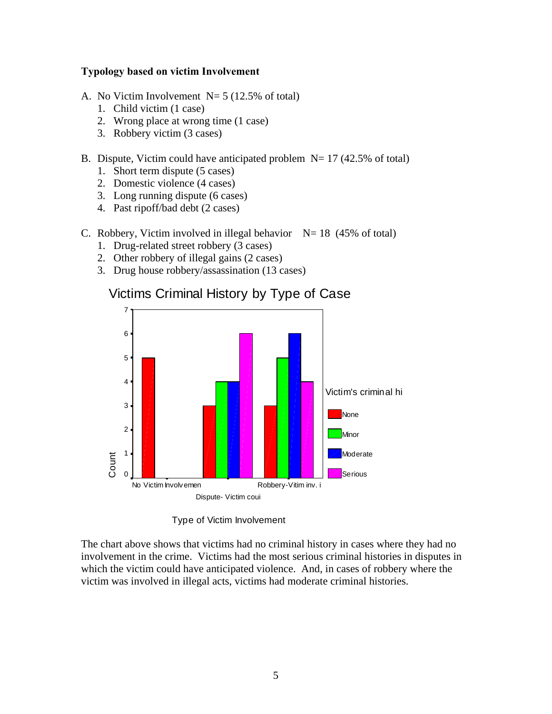#### **Typology based on victim Involvement**

- A. No Victim Involvement  $N=5$  (12.5% of total)
	- 1. Child victim (1 case)
	- 2. Wrong place at wrong time (1 case)
	- 3. Robbery victim (3 cases)

#### B. Dispute, Victim could have anticipated problem  $N= 17$  (42.5% of total)

- 1. Short term dispute (5 cases)
- 2. Domestic violence (4 cases)
- 3. Long running dispute (6 cases)
- 4. Past ripoff/bad debt (2 cases)

#### C. Robbery, Victim involved in illegal behavior  $N= 18$  (45% of total)

- 1. Drug-related street robbery (3 cases)
- 2. Other robbery of illegal gains (2 cases)
- 3. Drug house robbery/assassination (13 cases)



## Victims Criminal History by Type of Case

Type of Victim Involvement

The chart above shows that victims had no criminal history in cases where they had no involvement in the crime. Victims had the most serious criminal histories in disputes in which the victim could have anticipated violence. And, in cases of robbery where the victim was involved in illegal acts, victims had moderate criminal histories.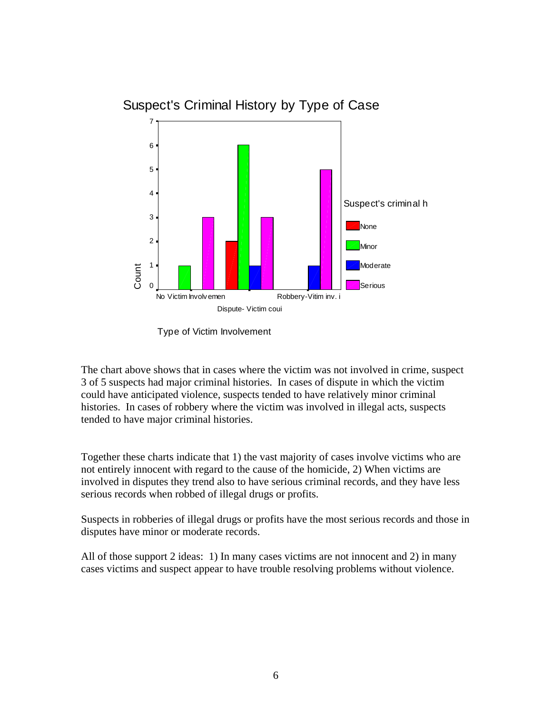

## Suspect's Criminal History by Type of Case

Type of Victim Involvement

The chart above shows that in cases where the victim was not involved in crime, suspect 3 of 5 suspects had major criminal histories. In cases of dispute in which the victim could have anticipated violence, suspects tended to have relatively minor criminal histories. In cases of robbery where the victim was involved in illegal acts, suspects tended to have major criminal histories.

Together these charts indicate that 1) the vast majority of cases involve victims who are not entirely innocent with regard to the cause of the homicide, 2) When victims are involved in disputes they trend also to have serious criminal records, and they have less serious records when robbed of illegal drugs or profits.

Suspects in robberies of illegal drugs or profits have the most serious records and those in disputes have minor or moderate records.

All of those support 2 ideas: 1) In many cases victims are not innocent and 2) in many cases victims and suspect appear to have trouble resolving problems without violence.